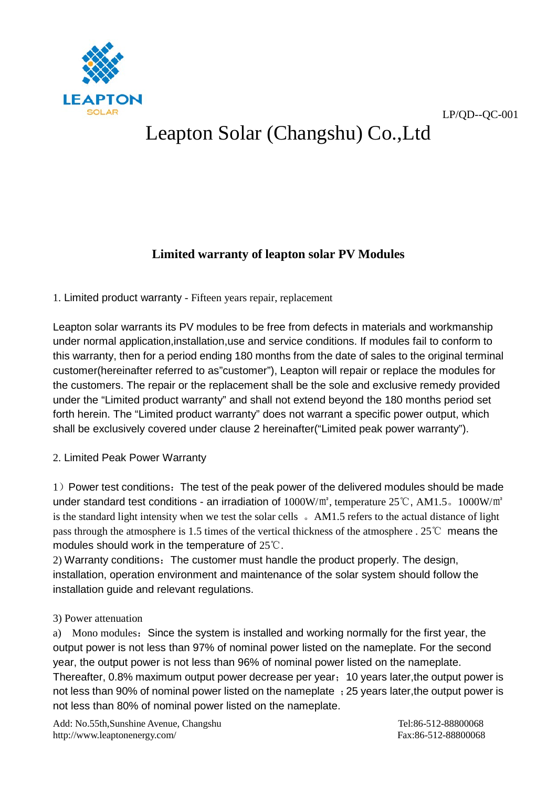

LP/QD--QC-001

# Leapton Solar (Changshu) Co.,Ltd

### **Limited warranty of leapton solar PV Modules**

1. Limited product warranty - Fifteen years repair, replacement

Leapton solar warrants its PV modules to be free from defects in materials and workmanship under normal application,installation,use and service conditions. If modules fail to conform to this warranty, then for a period ending 180 months from the date of sales to the original terminal customer(hereinafter referred to as"customer"), Leapton will repair or replace the modules for the customers. The repair or the replacement shall be the sole and exclusive remedy provided under the "Limited product warranty" and shall not extend beyond the 180 months period set forth herein. The "Limited product warranty" does not warrant a specific power output, which shall be exclusively covered under clause 2 hereinafter("Limited peak power warranty").

### 2. Limited Peak Power Warranty

1)Power test conditions:The test of the peak power of the delivered modules should be made under standard test conditions - an irradiation of  $1000W/m^2$ , temperature  $25^{\circ}$ C, AM1.5。1000W/m<sup>2</sup> is the standard light intensity when we test the solar cells 。AM1.5 refers to the actual distance of light pass through the atmosphere is 1.5 times of the vertical thickness of the atmosphere . 25℃ means the modules should work in the temperature of 25℃.

2) Warranty conditions:The customer must handle the product properly. The design, installation, operation environment and maintenance of the solar system should follow the installation guide and relevant regulations.

#### 3) Power attenuation

a) Mono modules: Since the system is installed and working normally for the first year, the output power is not less than 97% of nominal power listed on the nameplate. For the second year, the output power is not less than 96% of nominal power listed on the nameplate. Thereafter, 0.8% maximum output power decrease per year;10 years later,the output power is not less than 90% of nominal power listed on the nameplate ;25 years later,the output power is not less than 80% of nominal power listed on the nameplate.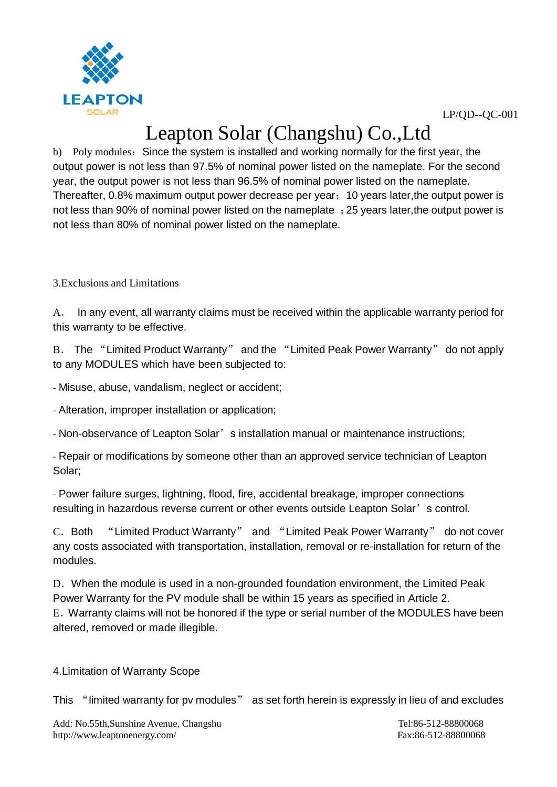

## Leapton Solar (Changshu) Co.,Ltd

b) Poly modules: Since the system is installed and working normally for the first year, the output power is not less than 97.5% of nominal power listed on the nameplate. For the second year, the output power is not less than 96.5% of nominal power listed on the nameplate. Thereafter, 0.8% maximum output power decrease per year;10 years later,the output power is not less than 90% of nominal power listed on the nameplate ;25 years later,the output power is not less than 80% of nominal power listed on the nameplate.

3.Exclusions and Limitations

A. In any event, all warranty claims must be received within the applicable warranty period for this warranty to be effective.

B. The "Limited Product Warranty" and the "Limited Peak Power Warranty" do not apply to any MODULES which have been subjected to:

- Misuse, abuse, vandalism, neglect or accident;

- Alteration, improper installation or application;

- Non-observance of Leapton Solar's installation manual or maintenance instructions;

- Repair or modifications by someone other than an approved service technician of Leapton Solar;

- Power failure surges, lightning, flood, fire, accidental breakage, improper connections resulting in hazardous reverse current or other events outside Leapton Solar's control.

C.Both "Limited Product Warranty" and "Limited Peak Power Warranty" do not cover any costs associated with transportation, installation, removal or re-installation for return of the modules.

D.When the module is used in a non-grounded foundation environment, the Limited Peak Power Warranty for the PV module shall be within 15 years as specified in Article 2. E.Warranty claims will not be honored if the type or serial number of the MODULES have been altered, removed or made illegible.

4.Limitation of Warranty Scope

This "limited warranty for pv modules" as set forth herein is expressly in lieu of and excludes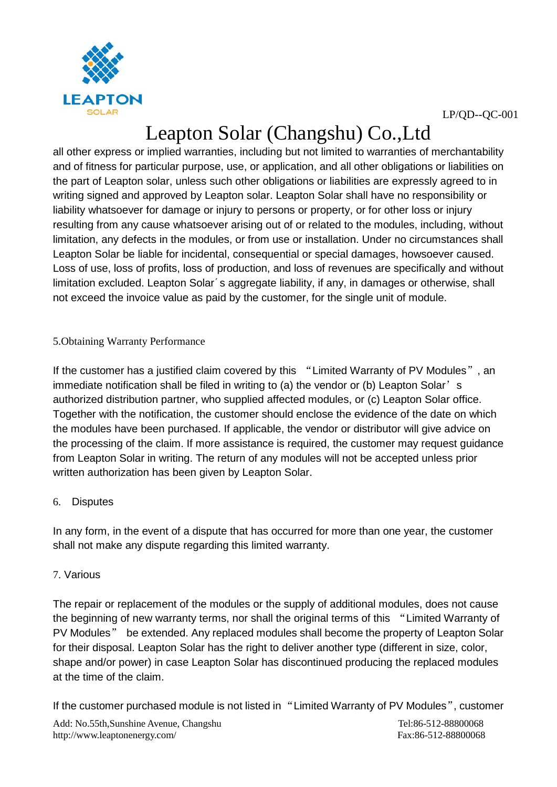

# Leapton Solar (Changshu) Co.,Ltd

all other express or implied warranties, including but not limited to warranties of merchantability and of fitness for particular purpose, use, or application, and all other obligations or liabilities on the part of Leapton solar, unless such other obligations or liabilities are expressly agreed to in writing signed and approved by Leapton solar. Leapton Solar shall have no responsibility or liability whatsoever for damage or injury to persons or property, or for other loss or injury resulting from any cause whatsoever arising out of or related to the modules, including, without limitation, any defects in the modules, or from use or installation. Under no circumstances shall Leapton Solar be liable for incidental, consequential or special damages, howsoever caused. Loss of use, loss of profits, loss of production, and loss of revenues are specifically and without limitation excluded. Leapton Solar´s aggregate liability, if any, in damages or otherwise, shall not exceed the invoice value as paid by the customer, for the single unit of module.

### 5.Obtaining Warranty Performance

If the customer has a justified claim covered by this "Limited Warranty of PV Modules", an immediate notification shall be filed in writing to (a) the vendor or (b) Leapton Solar's authorized distribution partner, who supplied affected modules, or (c) Leapton Solar office. Together with the notification, the customer should enclose the evidence of the date on which the modules have been purchased. If applicable, the vendor or distributor will give advice on the processing of the claim. If more assistance is required, the customer may request guidance from Leapton Solar in writing. The return of any modules will not be accepted unless prior written authorization has been given by Leapton Solar.

### 6. Disputes

In any form, in the event of a dispute that has occurred for more than one year, the customer shall not make any dispute regarding this limited warranty.

### 7. Various

The repair or replacement of the modules or the supply of additional modules, does not cause the beginning of new warranty terms, nor shall the original terms of this "Limited Warranty of PV Modules" be extended. Any replaced modules shall become the property of Leapton Solar for their disposal. Leapton Solar has the right to deliver another type (different in size, color, shape and/or power) in case Leapton Solar has discontinued producing the replaced modules at the time of the claim.

Add: No.55th,Sunshine Avenue, Changshu Tel:86-512-88800068 http://www.leaptonenergy.com/ Fax:86-512-88800068 If the customer purchased module is not listed in "Limited Warranty of PV Modules", customer